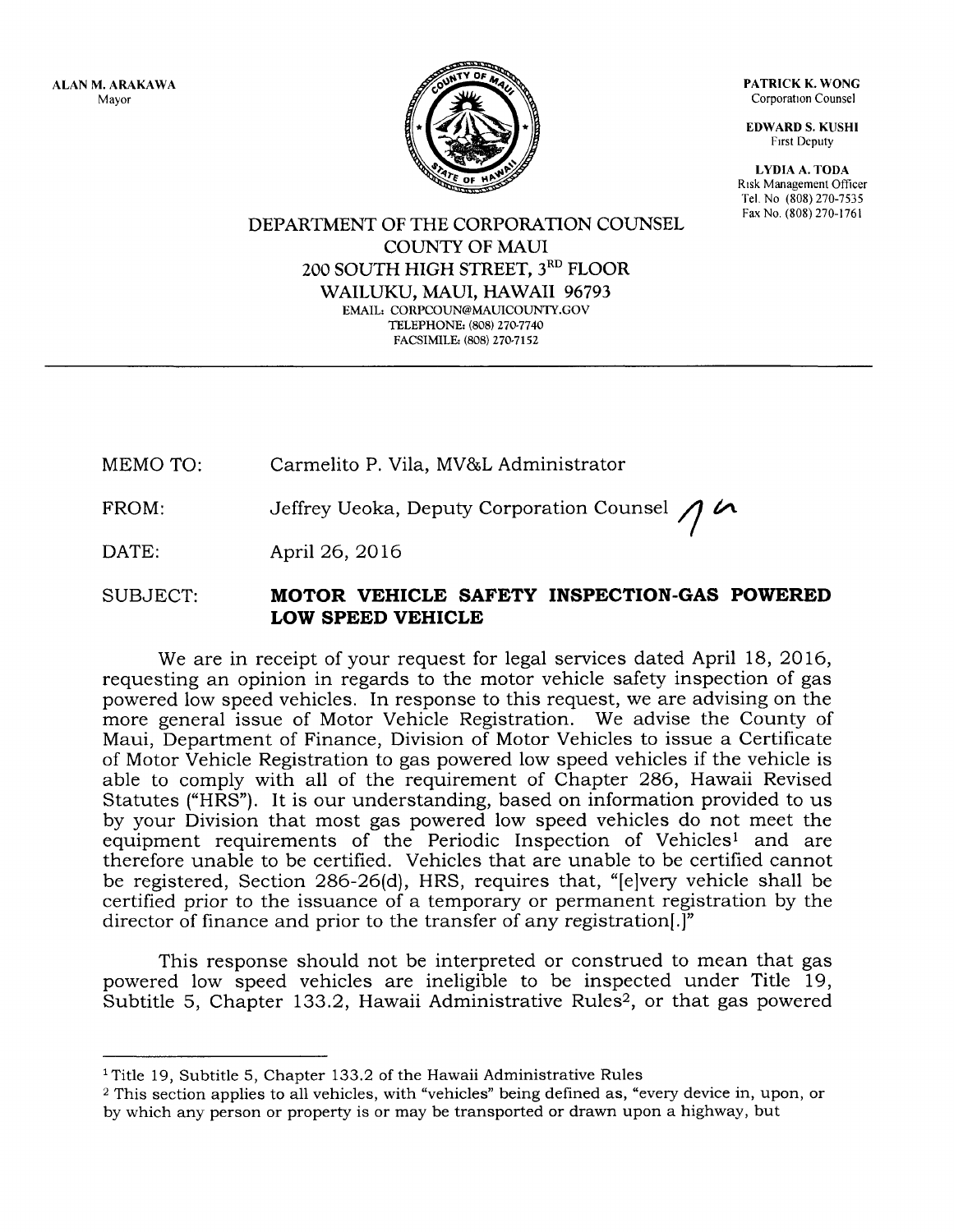ALAN M. ARAKAWA Mayor



PATRICK K. WONG Corporation Counsel

**EDWARD S. KUSHI** Frrst Deputy

LYDIA A, TODA Rrsk Management Officer Tel. No (808) 270-7535 Far No. (808) 270-1761

DEPARTMENT OF THE CORPORATION COUNSEL COUNTY OF MAUI 2OO SOUTH HIGH STREET, 3RD FLOOR WAILUKU, MAUI, HAWAII 96793 EMAIL: CORPCOUN@MAUICOUNTY.GOV TELEPHONE: (808) 27G7740 FACSIMILE: (808) 270-7152

MEMO TO: Carmelito P. Vila, MV&L Administrator

FROM: Jeffrey Ueoka, Deputy Corporation Counsel  $\bigwedge$   $\curvearrowright$ 

DATE: April 26, 2016

SUBJECT: MOTOR VEHICLE SAFETY INSPECTION.GAS POWERED LOW SPEED VEHICLE

We are in receipt of your request for legal services dated April 18, 2016, requesting an opinion in regards to the motor vehicle safety inspection of gas powered low speed vehicles. In response to this request, we are advising on the more general issue of Motor Vehicle Registration. We advise the County of Maui, Department of Finance, Division of Motor Vehicles to issue a Certificate of Motor Vehicle Registration to gas powered low speed vehicles if the vehicle is able to comply with all of the requirement of Chapter 286, Hawaii Revised Statutes ("HRS'). It is our understanding, based on information provided to us by your Division that most gas powered low speed vehicles do not meet the equipment requirements of the Periodic Inspection of Vehiclesl and are therefore unable to be certified. Vehicles that are unable to be certified cannot be registered, Section 286-26(d), HRS, requires that, "[e]very vehicle shall be certified prior to the issuance of a temporary or permanent registration by the director of finance and prior to the transfer of any registration.]"

This response should not be interpreted or construed to mean that gas powered low speed vehicles are ineligible to be inspected under Title 19, Subtitle 5, Chapter 133.2, Hawaii Administrative Rules<sup>2</sup>, or that gas powered

 $1$  Title 19, Subtitle 5, Chapter 133.2 of the Hawaii Administrative Rules

<sup>&</sup>lt;sup>2</sup> This section applies to all vehicles, with "vehicles" being defined as, "every device in, upon, or by which any person or property is or may be transported or drawn upon a highway, but